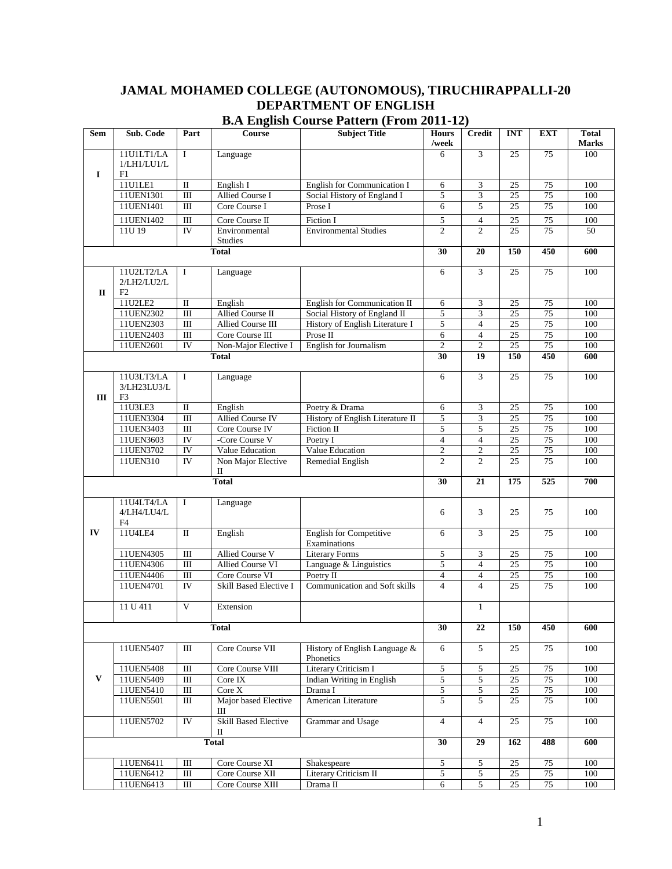# **JAMAL MOHAMED COLLEGE (AUTONOMOUS), TIRUCHIRAPPALLI-20 DEPARTMENT OF ENGLISH**

| Sem          | Sub. Code      | Part            | <b>Course</b>               | <b>Subject Title</b>                  | <b>Hours</b><br>/week | <b>Credit</b>            | <b>INT</b>      | <b>EXT</b>      | <b>Total</b><br><b>Marks</b> |
|--------------|----------------|-----------------|-----------------------------|---------------------------------------|-----------------------|--------------------------|-----------------|-----------------|------------------------------|
|              | 11U1LT1/LA     | $\mathbf I$     | Language                    |                                       | 6                     | 3                        | 25              | 75              | 100                          |
|              | 1/LH1/LU1/L    |                 |                             |                                       |                       |                          |                 |                 |                              |
| I            | F1             |                 |                             |                                       |                       |                          |                 |                 |                              |
|              | 11U1LE1        | $\mathbf I$     | English I                   | <b>English for Communication I</b>    | 6                     | 3                        | 25              | 75              | 100                          |
|              | 11UEN1301      | $\mathbf{III}$  | Allied Course I             | Social History of England I           | 5                     | 3                        | 25              | $\overline{75}$ | 100                          |
|              | 11UEN1401      | $\rm III$       | Core Course I               | Prose I                               | 6                     | $\overline{5}$           | $\overline{25}$ | 75              | 100                          |
|              | 11UEN1402      | Ш               | Core Course II              | Fiction I                             | 5                     | $\overline{4}$           | 25              | 75              | 100                          |
|              | 11U 19         | <b>IV</b>       | Environmental               | <b>Environmental Studies</b>          | $\overline{2}$        | $\overline{c}$           | $\overline{25}$ | $\overline{75}$ | 50                           |
|              |                |                 | <b>Studies</b>              |                                       |                       |                          |                 |                 |                              |
|              |                |                 | <b>Total</b>                |                                       | 30                    | 20                       | 150             | 450             | 600                          |
|              |                |                 |                             |                                       |                       |                          |                 |                 |                              |
|              | 11U2LT2/LA     | $\mathbf I$     | Language                    |                                       | 6                     | $\overline{3}$           | 25              | $\overline{75}$ | 100                          |
|              | 2/LH2/LU2/L    |                 |                             |                                       |                       |                          |                 |                 |                              |
| $\mathbf{I}$ | F2             |                 |                             |                                       |                       |                          |                 |                 |                              |
|              | 11U2LE2        | $\rm II$        | English                     | English for Communication II          | 6                     | 3                        | 25              | 75              | 100                          |
|              | 11UEN2302      | Ш               | Allied Course II            | Social History of England II          | 5                     | 3                        | $\overline{25}$ | 75              | 100                          |
|              | 11UEN2303      | $\mathbf{III}$  | Allied Course III           | History of English Literature I       | $\overline{5}$        | $\overline{4}$           | $\overline{25}$ | $\overline{75}$ | 100                          |
|              | 11UEN2403      | $\rm III$       | Core Course III             | Prose II                              | 6                     | $\overline{4}$           | 25              | 75              | 100                          |
|              | 11UEN2601      | <b>IV</b>       | Non-Major Elective I        | <b>English for Journalism</b>         | $\overline{2}$        | $\overline{c}$           | 25              | $\overline{75}$ | 100                          |
|              |                |                 | <b>Total</b>                |                                       | 30                    | 19                       | 150             | 450             | 600                          |
|              |                |                 |                             |                                       |                       |                          |                 |                 |                              |
|              | 11U3LT3/LA     | $\bf{I}$        | Language                    |                                       | 6                     | 3                        | 25              | 75              | 100                          |
|              | 3/LH23LU3/L    |                 |                             |                                       |                       |                          |                 |                 |                              |
| Ш            | F <sub>3</sub> |                 |                             |                                       |                       |                          |                 |                 |                              |
|              | 11U3LE3        | $\rm II$        | English                     | Poetry & Drama                        | 6                     | 3                        | 25              | 75              | 100                          |
|              | 11UEN3304      | $\mathbf{III}$  | <b>Allied Course IV</b>     | History of English Literature II      | 5                     | 3                        | $\overline{25}$ | $\overline{75}$ | 100                          |
|              | 11UEN3403      | Ш               | Core Course IV              | Fiction II                            | 5                     | 5                        | $25\,$          | $75\,$          | 100                          |
|              | 11UEN3603      | IV              | -Core Course V              | Poetry I                              | 4                     | $\overline{\mathcal{A}}$ | 25              | 75              | 100                          |
|              | 11UEN3702      | IV              | Value Education             | Value Education                       | $\overline{c}$        | $\mathbf{2}$             | 25              | 75              | 100                          |
|              | 11UEN310       | $\overline{IV}$ | Non Major Elective          | Remedial English                      | $\overline{c}$        | 2                        | 25              | 75              | 100                          |
|              |                |                 | П                           |                                       |                       |                          |                 |                 |                              |
|              |                |                 | <b>Total</b>                |                                       | 30                    | 21                       | 175             | 525             | 700                          |
|              |                |                 |                             |                                       |                       |                          |                 |                 |                              |
|              | 11U4LT4/LA     | $\mathbf I$     | Language                    |                                       |                       |                          |                 |                 |                              |
|              | 4/LH4/LU4/L    |                 |                             |                                       | 6                     | 3                        | 25              | 75              | 100                          |
|              | F4             |                 |                             |                                       |                       |                          |                 |                 |                              |
| IV           | 11U4LE4        | $\mathbf{I}$    | English                     | <b>English for Competitive</b>        | 6                     | 3                        | 25              | 75              | 100                          |
|              | 11UEN4305      | $\mathbf{III}$  | Allied Course V             | Examinations<br><b>Literary Forms</b> | 5                     | $\mathfrak{Z}$           |                 | $75\,$          | 100                          |
|              | 11UEN4306      | $\overline{m}$  | <b>Allied Course VI</b>     | Language & Linguistics                | 5                     | $\overline{4}$           | 25<br>25        | 75              | 100                          |
|              | 11UEN4406      | $\rm III$       | Core Course VI              | Poetry II                             | $\overline{4}$        | $\overline{4}$           | $25\,$          | 75              | 100                          |
|              | 11UEN4701      | IV              | Skill Based Elective I      | Communication and Soft skills         | $\overline{4}$        | $\overline{4}$           | 25              | 75              | 100                          |
|              |                |                 |                             |                                       |                       |                          |                 |                 |                              |
|              | 11 U 411       | V               | Extension                   |                                       |                       | $\mathbf{1}$             |                 |                 |                              |
|              |                |                 |                             |                                       |                       |                          |                 |                 |                              |
|              |                |                 | <b>Total</b>                |                                       | 30                    | 22                       | 150             | 450             | 600                          |
|              |                |                 |                             |                                       |                       |                          |                 |                 |                              |
|              | 11UEN5407      | $\rm III$       | Core Course VII             | History of English Language &         | 6                     | $\mathfrak{S}$           | 25              | 75              | 100                          |
|              |                |                 |                             | Phonetics                             |                       |                          |                 |                 |                              |
|              | 11UEN5408      | $\rm III$       | Core Course VIII            | Literary Criticism I                  | $\sqrt{5}$            | $\overline{5}$           | $25\,$          | $75\,$          | 100                          |
| V            | 11UEN5409      | $\rm III$       | Core IX                     | Indian Writing in English             | 5                     | $\overline{5}$           | 25              | 75              | 100                          |
|              | 11UEN5410      | $\rm III$       | Core X                      | Drama I                               | $\overline{5}$        | $\overline{5}$           | $25\,$          | 75              | 100                          |
|              | 11UEN5501      | $\rm III$       | Major based Elective        | American Literature                   | 5                     | 5                        | $\overline{25}$ | $\overline{75}$ | 100                          |
|              |                |                 | Ш                           |                                       |                       |                          |                 |                 |                              |
|              | 11UEN5702      | ${\rm IV}$      | <b>Skill Based Elective</b> | Grammar and Usage                     | $\overline{4}$        | $\overline{4}$           | 25              | 75              | 100                          |
|              |                |                 | П                           |                                       |                       |                          |                 |                 |                              |
|              |                |                 | <b>Total</b>                |                                       | 30                    | 29                       | 162             | 488             | 600                          |
|              |                |                 |                             |                                       |                       |                          |                 |                 |                              |
|              | 11UEN6411      | $\rm III$       | Core Course XI              | Shakespeare                           | 5                     | $\mathfrak{S}$           | 25              | 75              | 100                          |
|              | 11UEN6412      | $\rm III$       | Core Course XII             | Literary Criticism II                 | 5                     | $\sqrt{5}$               | 25              | 75              | 100                          |
|              | 11UEN6413      | $\rm III$       | Core Course XIII            | Drama II                              | 6                     | $\overline{5}$           | 25              | 75              | $100\,$                      |

### **B.A English Course Pattern (From 2011-12)**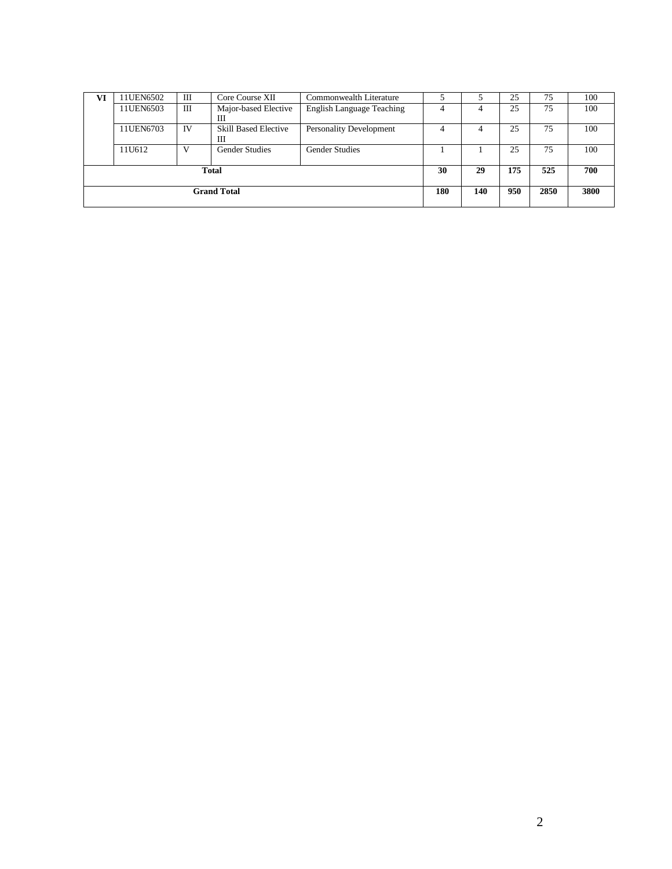| VI                 | 11UEN6502 | Ш  | Core Course XII                  | Commonwealth Literature          |     |     | 25  | 75   | 100  |
|--------------------|-----------|----|----------------------------------|----------------------------------|-----|-----|-----|------|------|
|                    | 11UEN6503 | Ш  | Major-based Elective<br>Ш        | <b>English Language Teaching</b> | 4   |     | 25  | 75   | 100  |
|                    | 11UEN6703 | IV | <b>Skill Based Elective</b><br>Ш | <b>Personality Development</b>   | 4   | 4   | 25  | 75   | 100  |
|                    | 11U612    |    | <b>Gender Studies</b>            | <b>Gender Studies</b>            |     |     | 25  | 75   | 100  |
| <b>Total</b>       |           |    |                                  |                                  |     | 29  | 175 | 525  | 700  |
| <b>Grand Total</b> |           |    |                                  |                                  | 180 | 140 | 950 | 2850 | 3800 |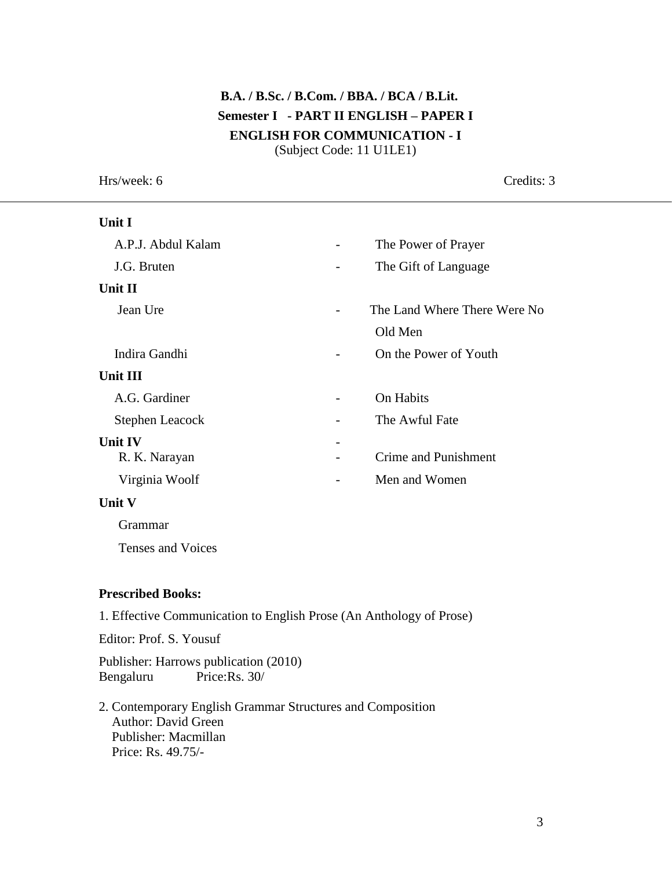# **B.A. / B.Sc. / B.Com. / BBA. / BCA / B.Lit. Semester I - PART II ENGLISH – PAPER I ENGLISH FOR COMMUNICATION - I** (Subject Code: 11 U1LE1)

Hrs/week: 6 Credits: 3 **Unit I** A.P.J. Abdul Kalam - The Power of Prayer J.G. Bruten **-** The Gift of Language **Unit II** Jean Ure - The Land Where There Were No Old Men Indira Gandhi **-** On the Power of Youth **Unit III** A.G. Gardiner **-** On Habits Stephen Leacock The Awful Fate **Unit IV** R. K. Narayan **-** Crime and Punishment Virginia Woolf **-** Men and Women **Unit V** Grammar Tenses and Voices

#### **Prescribed Books:**

1. Effective Communication to English Prose (An Anthology of Prose)

Editor: Prof. S. Yousuf

Publisher: Harrows publication (2010) Bengaluru Price:Rs. 30/

2. Contemporary English Grammar Structures and Composition Author: David Green Publisher: Macmillan Price: Rs. 49.75/-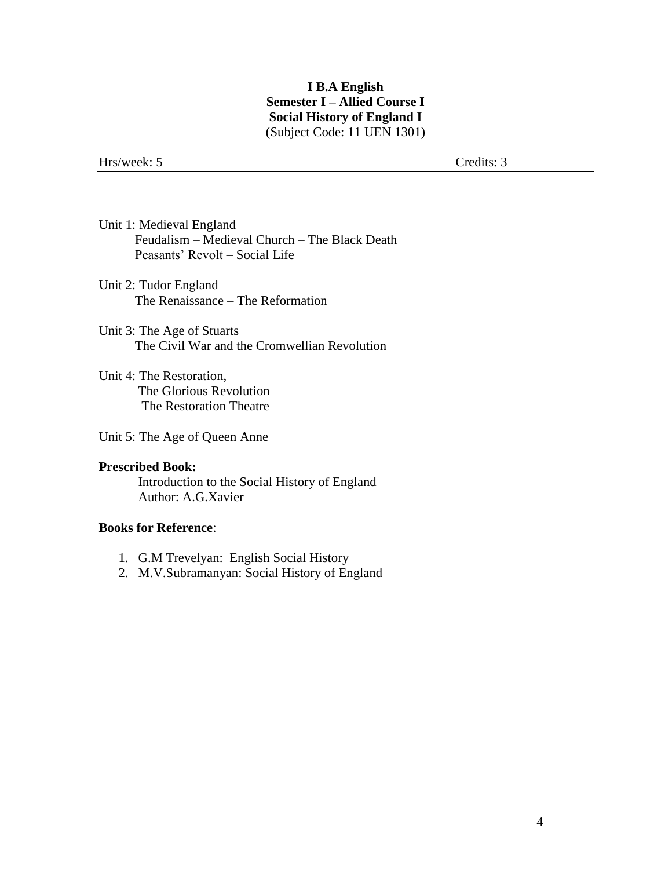## **I B.A English Semester I – Allied Course I Social History of England I** (Subject Code: 11 UEN 1301)

Hrs/week: 5 Credits: 3

- Unit 1: Medieval England Feudalism – Medieval Church – The Black Death Peasants' Revolt – Social Life
- Unit 2: Tudor England The Renaissance – The Reformation
- Unit 3: The Age of Stuarts The Civil War and the Cromwellian Revolution
- Unit 4: The Restoration, The Glorious Revolution The Restoration Theatre
- Unit 5: The Age of Queen Anne

#### **Prescribed Book:**  Introduction to the Social History of England Author: A.G.Xavier

### **Books for Reference**:

- 1. G.M Trevelyan: English Social History
- 2. M.V.Subramanyan: Social History of England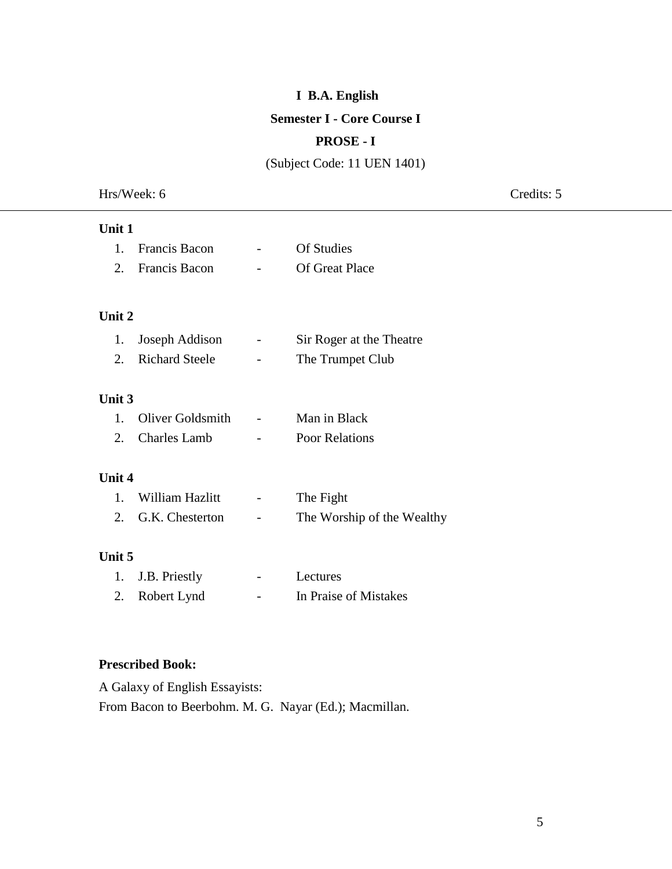## **I B.A. English**

### **Semester I - Core Course I**

# **PROSE - I**

(Subject Code: 11 UEN 1401)

Hrs/Week: 6 Credits: 5

| Unit 1        |                       |                            |
|---------------|-----------------------|----------------------------|
| $1_{-}$       | <b>Francis Bacon</b>  | Of Studies                 |
|               | 2. Francis Bacon      | <b>Of Great Place</b>      |
| Unit 2        |                       |                            |
| 1.            | Joseph Addison        | Sir Roger at the Theatre   |
| 2.            | <b>Richard Steele</b> | The Trumpet Club           |
| <b>Unit 3</b> |                       |                            |
| $1_{-}$       | Oliver Goldsmith      | Man in Black               |
| $2_{\cdot}$   | <b>Charles Lamb</b>   | <b>Poor Relations</b>      |
| Unit 4        |                       |                            |
| $1_{-}$       | William Hazlitt       | The Fight                  |
| 2.            | G.K. Chesterton       | The Worship of the Wealthy |
| Unit 5        |                       |                            |
| 1.            | J.B. Priestly         | Lectures                   |
| 2.            | Robert Lynd           | In Praise of Mistakes      |
|               |                       |                            |

## **Prescribed Book:**

A Galaxy of English Essayists: From Bacon to Beerbohm. M. G. Nayar (Ed.); Macmillan.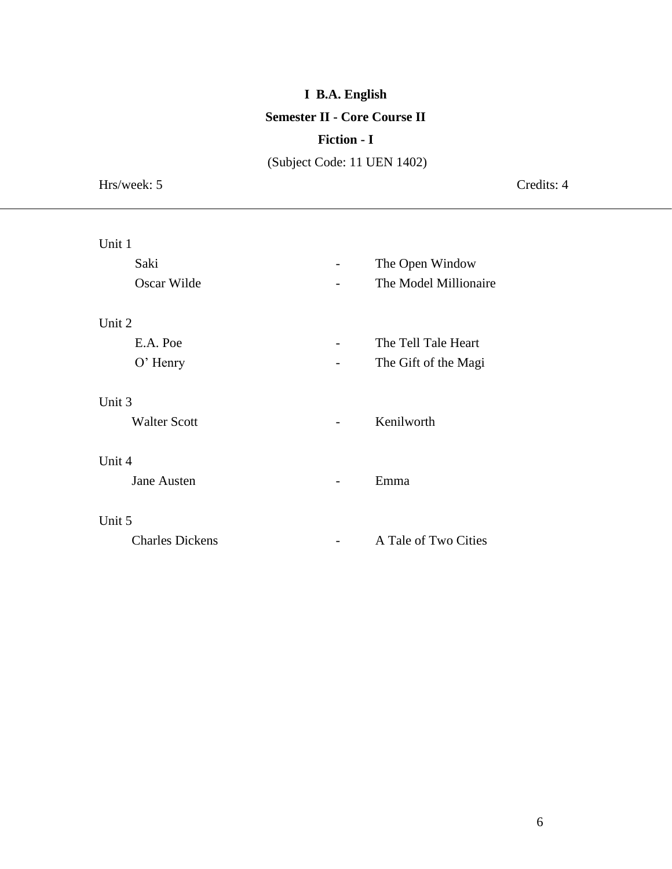# **I B.A. English Semester II - Core Course II**

## **Fiction - I**

(Subject Code: 11 UEN 1402)

Hrs/week: 5 Credits: 4

| Unit 1                 |                       |
|------------------------|-----------------------|
| Saki                   | The Open Window       |
| Oscar Wilde            | The Model Millionaire |
|                        |                       |
| Unit 2                 |                       |
| E.A. Poe               | The Tell Tale Heart   |
| $O'$ Henry             | The Gift of the Magi  |
|                        |                       |
| Unit 3                 |                       |
| <b>Walter Scott</b>    | Kenilworth            |
|                        |                       |
| Unit 4                 |                       |
| <b>Jane Austen</b>     | Emma                  |
|                        |                       |
| Unit 5                 |                       |
| <b>Charles Dickens</b> | A Tale of Two Cities  |
|                        |                       |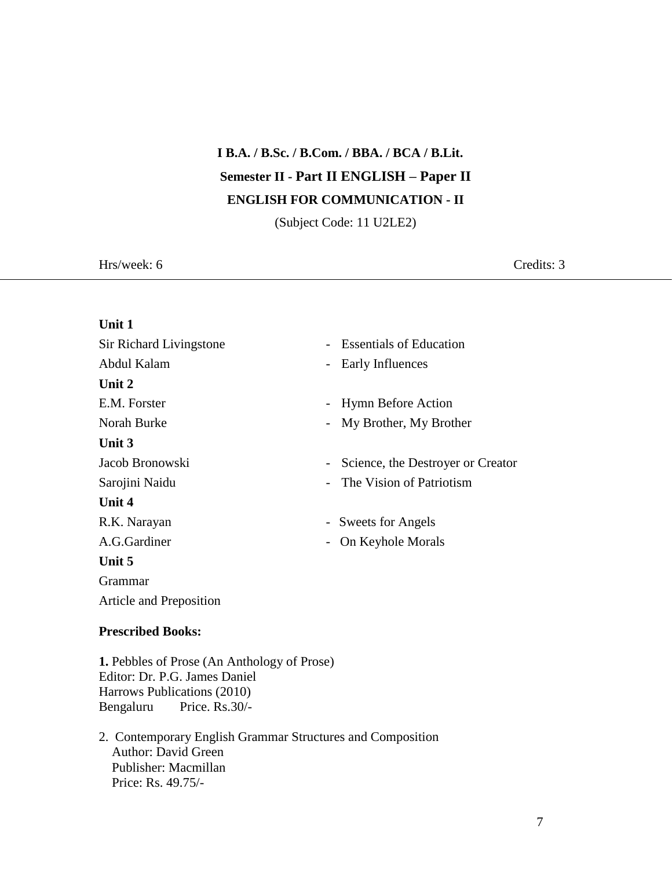# **I B.A. / B.Sc. / B.Com. / BBA. / BCA / B.Lit. Semester II - Part II ENGLISH – Paper II ENGLISH FOR COMMUNICATION - II**

(Subject Code: 11 U2LE2)

Hrs/week: 6 Credits: 3

| Unit 1                   |                                              |
|--------------------------|----------------------------------------------|
| Sir Richard Livingstone  | <b>Essentials of Education</b>               |
| Abdul Kalam              | Early Influences<br>$\overline{\phantom{0}}$ |
| Unit 2                   |                                              |
| E.M. Forster             | <b>Hymn Before Action</b>                    |
| Norah Burke              | My Brother, My Brother                       |
| Unit 3                   |                                              |
| Jacob Bronowski          | Science, the Destroyer or Creator            |
| Sarojini Naidu           | The Vision of Patriotism                     |
| Unit 4                   |                                              |
| R.K. Narayan             | - Sweets for Angels                          |
| A.G.Gardiner             | On Keyhole Morals                            |
| Unit 5                   |                                              |
| Grammar                  |                                              |
| Article and Preposition  |                                              |
| <b>Prescribed Books:</b> |                                              |

**1.** Pebbles of Prose (An Anthology of Prose) Editor: Dr. P.G. James Daniel Harrows Publications (2010) Bengaluru Price. Rs.30/-

2. Contemporary English Grammar Structures and Composition Author: David Green Publisher: Macmillan Price: Rs. 49.75/-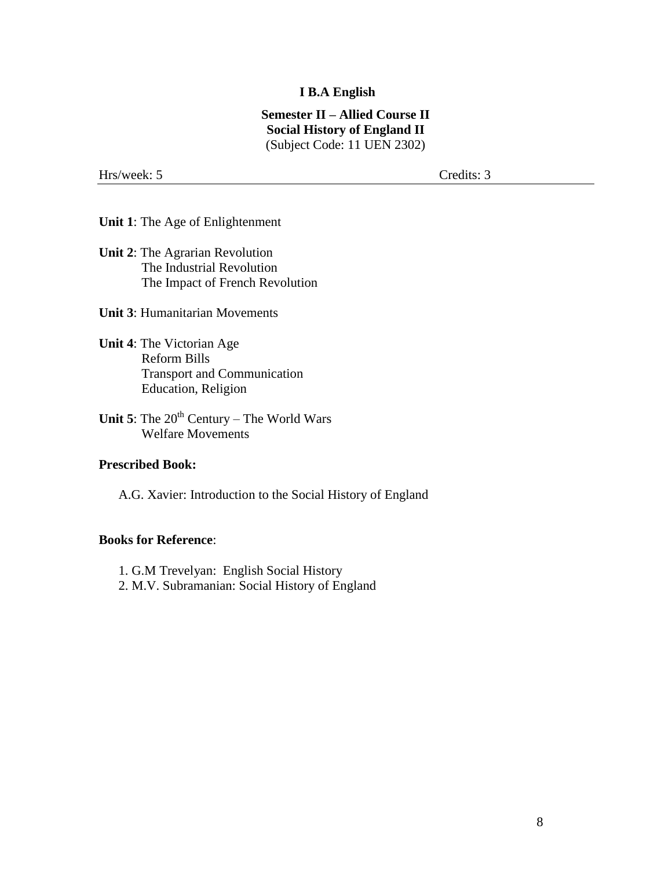#### **I B.A English**

#### **Semester II – Allied Course II Social History of England II** (Subject Code: 11 UEN 2302)

Hrs/week: 5 Credits: 3

**Unit 1**: The Age of Enlightenment

**Unit 2**: The Agrarian Revolution The Industrial Revolution The Impact of French Revolution

**Unit 3**: Humanitarian Movements

**Unit 4**: The Victorian Age Reform Bills Transport and Communication Education, Religion

**Unit 5**: The  $20<sup>th</sup>$  Century – The World Wars Welfare Movements

#### **Prescribed Book:**

A.G. Xavier: Introduction to the Social History of England

#### **Books for Reference**:

1. G.M Trevelyan: English Social History

2. M.V. Subramanian: Social History of England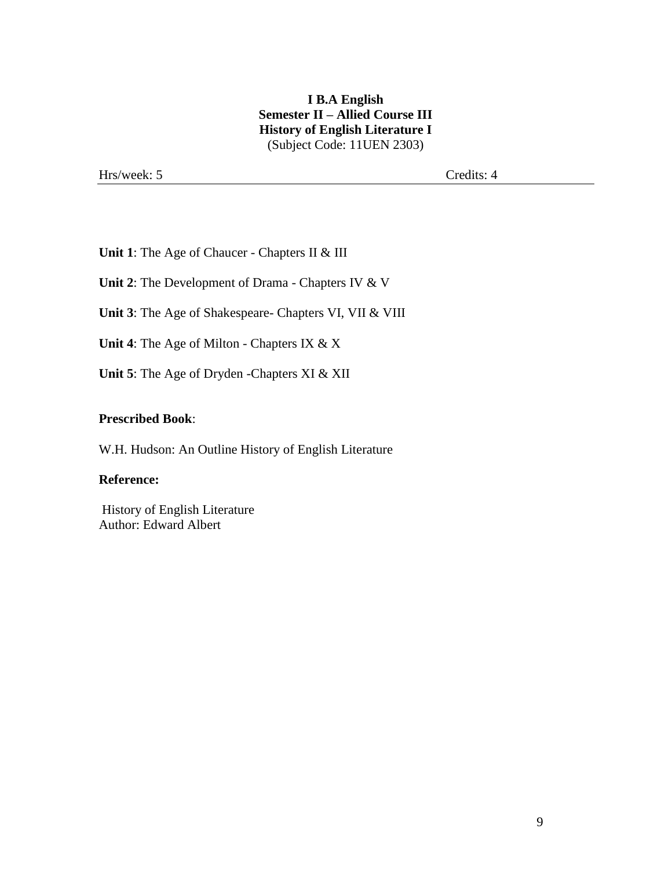## **I B.A English Semester II – Allied Course III History of English Literature I** (Subject Code: 11UEN 2303)

Hrs/week: 5 Credits: 4

**Unit 1**: The Age of Chaucer - Chapters II & III

**Unit 2**: The Development of Drama - Chapters IV & V

**Unit 3**: The Age of Shakespeare- Chapters VI, VII & VIII

**Unit 4**: The Age of Milton - Chapters IX & X

**Unit 5**: The Age of Dryden -Chapters XI & XII

#### **Prescribed Book**:

W.H. Hudson: An Outline History of English Literature

#### **Reference:**

History of English Literature Author: Edward Albert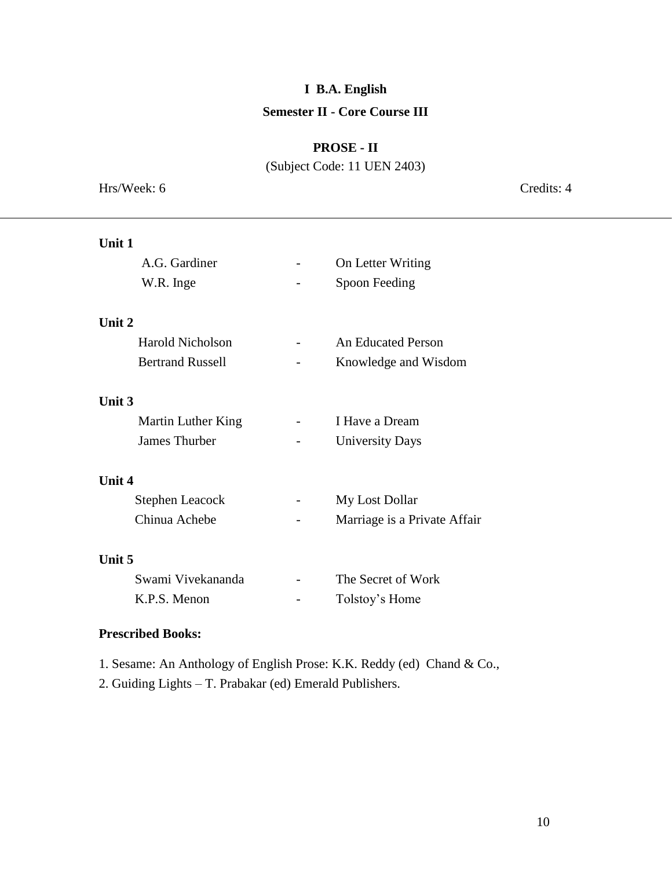# **I B.A. English Semester II - Core Course III**

# **PROSE - II**

(Subject Code: 11 UEN 2403)

Hrs/Week: 6 Credits: 4

| Unit 1                  |                              |
|-------------------------|------------------------------|
| A.G. Gardiner           | On Letter Writing            |
| W.R. Inge               | Spoon Feeding                |
|                         |                              |
| Unit 2                  |                              |
| Harold Nicholson        | <b>An Educated Person</b>    |
| <b>Bertrand Russell</b> | Knowledge and Wisdom         |
|                         |                              |
| <b>Unit 3</b>           |                              |
| Martin Luther King      | I Have a Dream               |
| James Thurber           | <b>University Days</b>       |
|                         |                              |
| Unit 4                  |                              |
| <b>Stephen Leacock</b>  | My Lost Dollar               |
| Chinua Achebe           | Marriage is a Private Affair |
|                         |                              |
| Unit 5                  |                              |
| Swami Vivekananda       | The Secret of Work           |
| K.P.S. Menon            | Tolstoy's Home               |
|                         |                              |

# **Prescribed Books:**

- 1. Sesame: An Anthology of English Prose: K.K. Reddy (ed) Chand & Co.,
- 2. Guiding Lights T. Prabakar (ed) Emerald Publishers.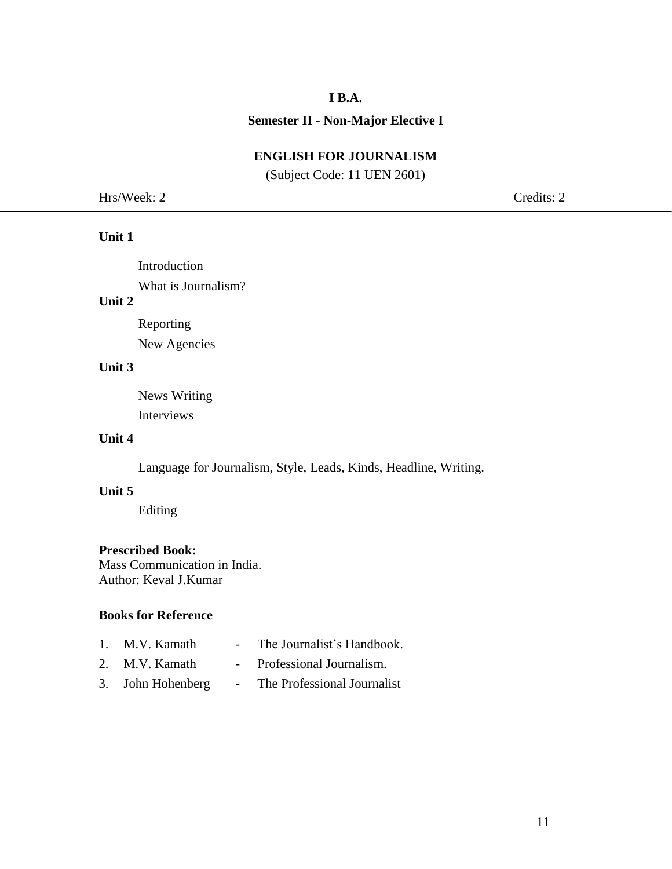## **I B.A.**

### **Semester II - Non-Major Elective I**

# **ENGLISH FOR JOURNALISM**

(Subject Code: 11 UEN 2601)

Hrs/Week: 2 Credits: 2

## **Unit 1**

Introduction What is Journalism?

## **Unit 2**

Reporting New Agencies

#### **Unit 3**

News Writing Interviews

## **Unit 4**

Language for Journalism, Style, Leads, Kinds, Headline, Writing.

## **Unit 5**

Editing

### **Prescribed Book:**

Mass Communication in India. Author: Keval J.Kumar

#### **Books for Reference**

| 1. M.V. Kamath    | $\sim$ $\sim$ | The Journalist's Handbook.  |
|-------------------|---------------|-----------------------------|
| 2. M.V. Kamath    |               | Professional Journalism.    |
| 3. John Hohenberg |               | The Professional Journalist |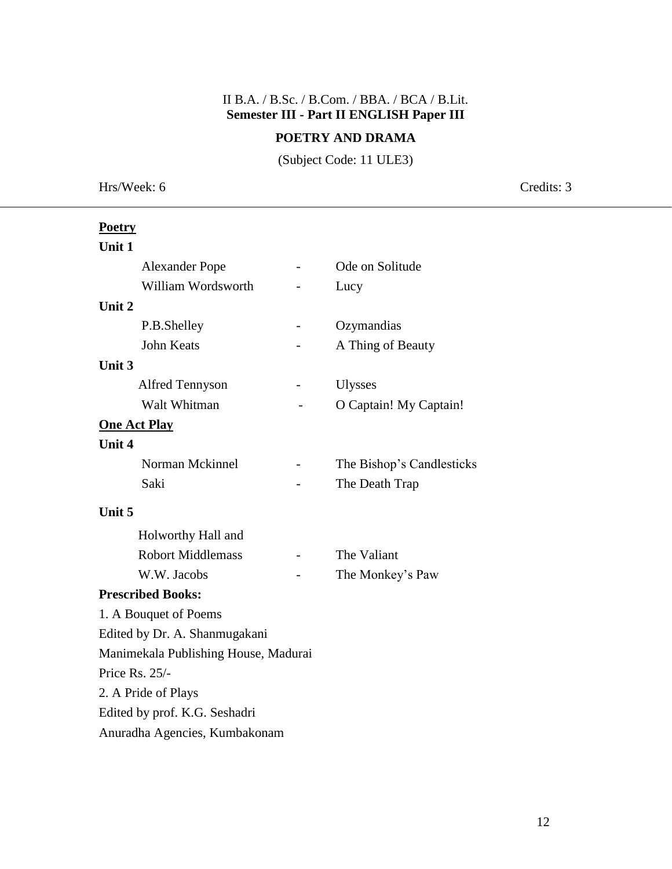# II B.A. / B.Sc. / B.Com. / BBA. / BCA / B.Lit. **Semester III - Part II ENGLISH Paper III**

## **POETRY AND DRAMA**

(Subject Code: 11 ULE3)

Hrs/Week: 6 Credits: 3

| <b>Poetry</b>                        |                           |
|--------------------------------------|---------------------------|
| Unit 1                               |                           |
| <b>Alexander Pope</b>                | Ode on Solitude           |
| William Wordsworth                   | Lucy                      |
| Unit 2                               |                           |
| P.B.Shelley                          | Ozymandias                |
| <b>John Keats</b>                    | A Thing of Beauty         |
| Unit 3                               |                           |
| <b>Alfred Tennyson</b>               | <b>Ulysses</b>            |
| Walt Whitman                         | O Captain! My Captain!    |
| <b>One Act Play</b>                  |                           |
| <b>Unit 4</b>                        |                           |
| Norman Mckinnel                      | The Bishop's Candlesticks |
| Saki                                 | The Death Trap            |
| Unit 5                               |                           |
| Holworthy Hall and                   |                           |
| <b>Robort Middlemass</b>             | The Valiant               |
| W.W. Jacobs                          | The Monkey's Paw          |
| <b>Prescribed Books:</b>             |                           |
| 1. A Bouquet of Poems                |                           |
| Edited by Dr. A. Shanmugakani        |                           |
| Manimekala Publishing House, Madurai |                           |
| Price Rs. $25/-$                     |                           |
| 2. A Pride of Plays                  |                           |
| Edited by prof. K.G. Seshadri        |                           |
| Anuradha Agencies, Kumbakonam        |                           |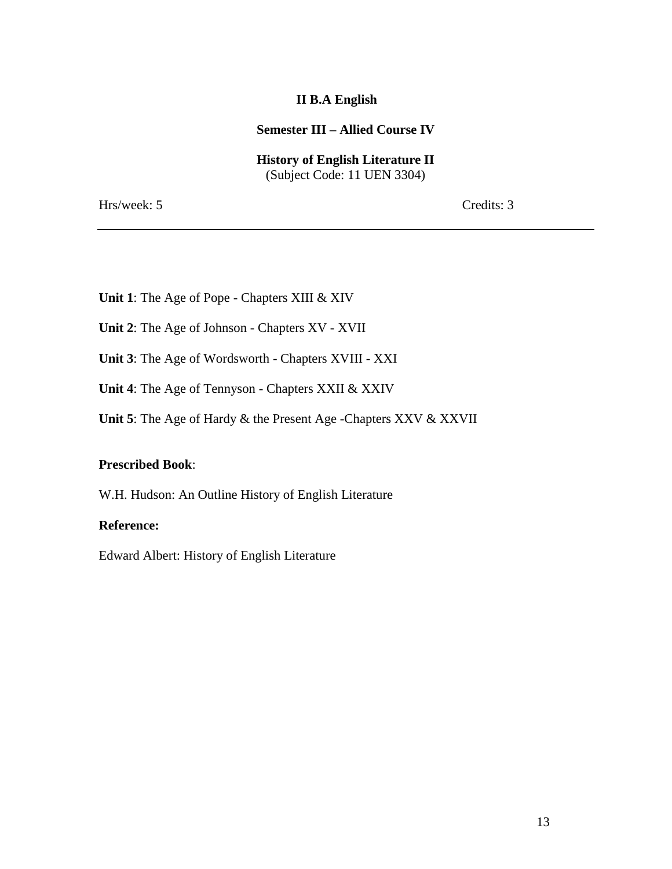## **II B.A English**

#### **Semester III – Allied Course IV**

**History of English Literature II** (Subject Code: 11 UEN 3304)

Hrs/week: 5 Credits: 3

- **Unit 1**: The Age of Pope Chapters XIII & XIV
- **Unit 2**: The Age of Johnson Chapters XV XVII
- **Unit 3**: The Age of Wordsworth Chapters XVIII XXI
- **Unit 4**: The Age of Tennyson Chapters XXII & XXIV
- **Unit 5**: The Age of Hardy & the Present Age -Chapters XXV & XXVII

#### **Prescribed Book**:

W.H. Hudson: An Outline History of English Literature

#### **Reference:**

Edward Albert: History of English Literature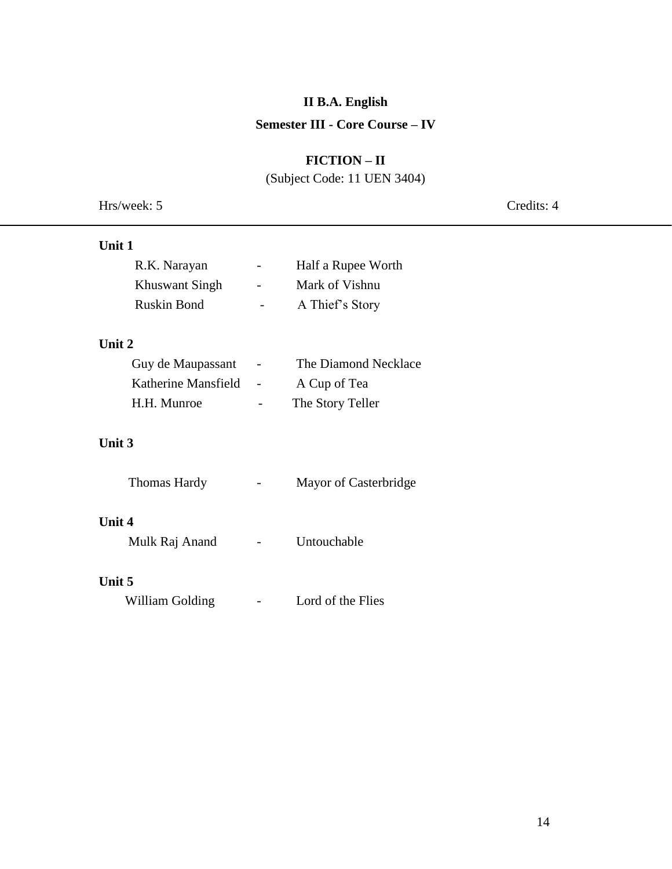# **II B.A. English**

# **Semester III - Core Course – IV**

# **FICTION – II**

(Subject Code: 11 UEN 3404)

|  | Hrs/week: 5 |  |
|--|-------------|--|
|--|-------------|--|

Credits: 4

| Unit 1              |                      |
|---------------------|----------------------|
| R.K. Narayan        | Half a Rupee Worth   |
| Khuswant Singh      | Mark of Vishnu       |
| Ruskin Bond         | A Thief's Story      |
| Unit $2$            |                      |
| Guy de Maupassant   | The Diamond Necklace |
| Katherine Mansfield | A Cup of Tea         |
| H.H. Munroe         | The Story Teller     |
|                     |                      |

# **Unit 3**

| Thomas Hardy | Mayor of Casterbridge |
|--------------|-----------------------|
|--------------|-----------------------|

# **Unit 4**

| Mulk Raj Anand |  | Untouchable |
|----------------|--|-------------|
|----------------|--|-------------|

# **Unit 5**

William Golding **-** Lord of the Flies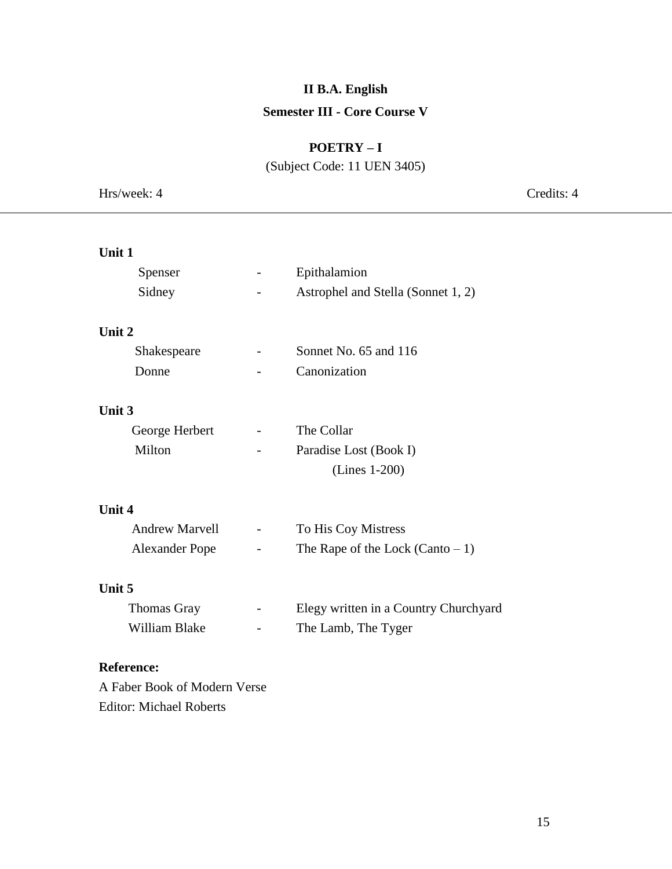# **II B.A. English Semester III - Core Course V**

# **POETRY – I**

(Subject Code: 11 UEN 3405)

| Hrs/week: 4                    |                              | Credits: 4                            |
|--------------------------------|------------------------------|---------------------------------------|
|                                |                              |                                       |
| Unit 1                         |                              |                                       |
| Spenser                        | $\qquad \qquad \blacksquare$ | Epithalamion                          |
| Sidney                         |                              | Astrophel and Stella (Sonnet 1, 2)    |
| Unit 2                         |                              |                                       |
| Shakespeare                    |                              | Sonnet No. 65 and 116                 |
| Donne                          |                              | Canonization                          |
| Unit 3                         |                              |                                       |
| George Herbert                 | $\overline{\phantom{a}}$     | The Collar                            |
| Milton                         |                              | Paradise Lost (Book I)                |
|                                |                              | (Lines 1-200)                         |
| Unit 4                         |                              |                                       |
| <b>Andrew Marvell</b>          | $\overline{\phantom{a}}$     | To His Coy Mistress                   |
| <b>Alexander Pope</b>          |                              | The Rape of the Lock (Canto $-1$ )    |
| Unit 5                         |                              |                                       |
| Thomas Gray                    | $\overline{\phantom{a}}$     | Elegy written in a Country Churchyard |
| William Blake                  | $\overline{\phantom{a}}$     | The Lamb, The Tyger                   |
| <b>Reference:</b>              |                              |                                       |
| A Faber Book of Modern Verse   |                              |                                       |
| <b>Editor: Michael Roberts</b> |                              |                                       |
|                                |                              |                                       |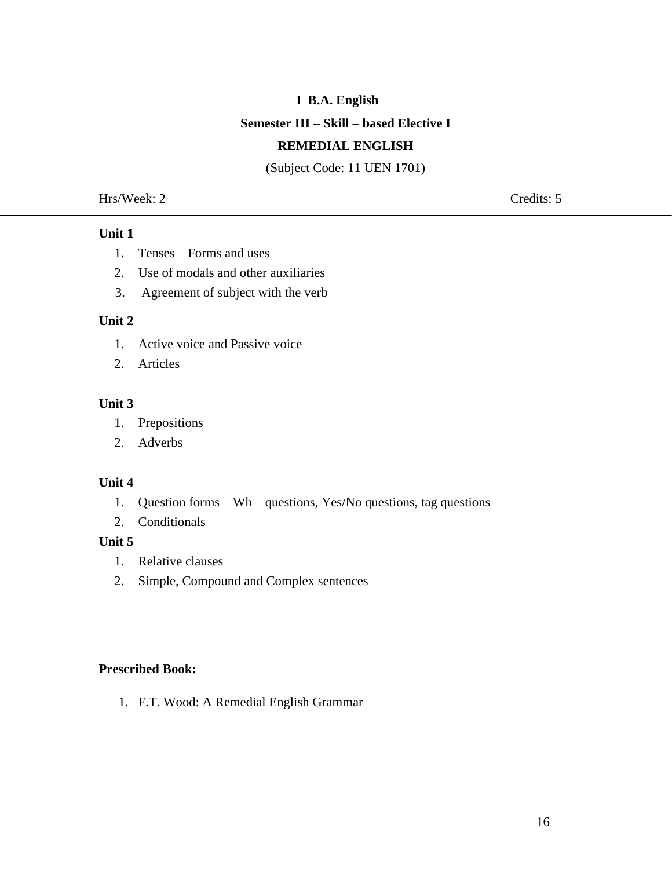### **I B.A. English**

#### **Semester III – Skill – based Elective I**

#### **REMEDIAL ENGLISH**

(Subject Code: 11 UEN 1701)

Hrs/Week: 2 Credits: 5

#### **Unit 1**

- 1. Tenses Forms and uses
- 2. Use of modals and other auxiliaries
- 3. Agreement of subject with the verb

#### **Unit 2**

- 1. Active voice and Passive voice
- 2. Articles

### **Unit 3**

- 1. Prepositions
- 2. Adverbs

#### **Unit 4**

- 1. Question forms Wh questions, Yes/No questions, tag questions
- 2. Conditionals

## **Unit 5**

- 1. Relative clauses
- 2. Simple, Compound and Complex sentences

#### **Prescribed Book:**

1. F.T. Wood: A Remedial English Grammar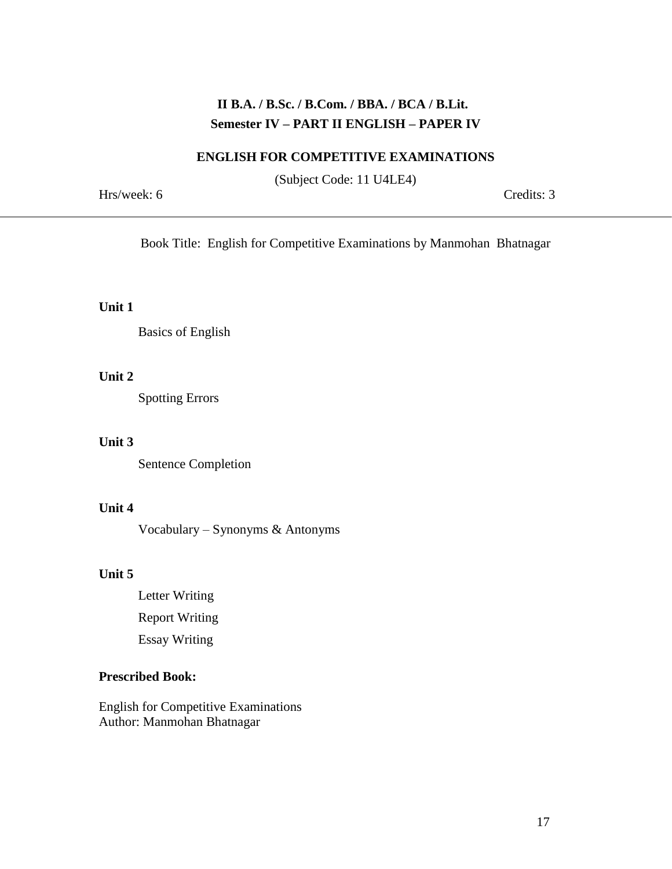# **II B.A. / B.Sc. / B.Com. / BBA. / BCA / B.Lit. Semester IV – PART II ENGLISH – PAPER IV**

#### **ENGLISH FOR COMPETITIVE EXAMINATIONS**

(Subject Code: 11 U4LE4)

Hrs/week: 6 Credits: 3

Book Title: English for Competitive Examinations by Manmohan Bhatnagar

#### **Unit 1**

Basics of English

## **Unit 2**

Spotting Errors

## **Unit 3**

Sentence Completion

## **Unit 4**

Vocabulary – Synonyms & Antonyms

#### **Unit 5**

Letter Writing Report Writing Essay Writing

### **Prescribed Book:**

English for Competitive Examinations Author: Manmohan Bhatnagar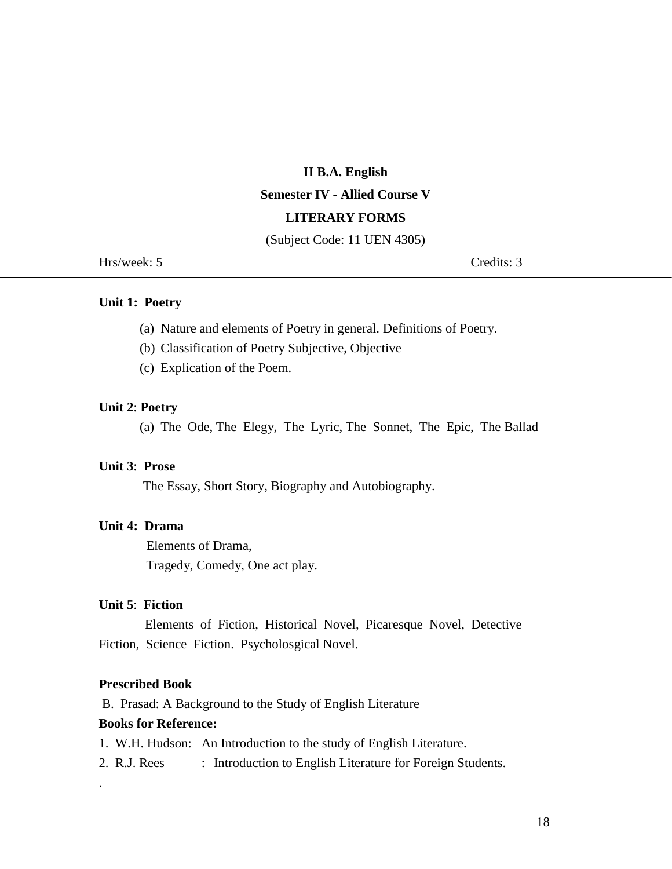# **II B.A. English Semester IV - Allied Course V LITERARY FORMS**

(Subject Code: 11 UEN 4305)

Hrs/week: 5 Credits: 3

#### **Unit 1: Poetry**

- (a) Nature and elements of Poetry in general. Definitions of Poetry.
- (b) Classification of Poetry Subjective, Objective
- (c) Explication of the Poem.

#### **Unit 2**: **Poetry**

(a) The Ode, The Elegy, The Lyric, The Sonnet, The Epic, The Ballad

#### **Unit 3**: **Prose**

The Essay, Short Story, Biography and Autobiography.

#### **Unit 4: Drama**

 Elements of Drama, Tragedy, Comedy, One act play.

#### **Unit 5**: **Fiction**

 Elements of Fiction, Historical Novel, Picaresque Novel, Detective Fiction, Science Fiction. Psycholosgical Novel.

#### **Prescribed Book**

.

B. Prasad: A Background to the Study of English Literature

#### **Books for Reference:**

- 1. W.H. Hudson: An Introduction to the study of English Literature.
- 2. R.J. Rees : Introduction to English Literature for Foreign Students.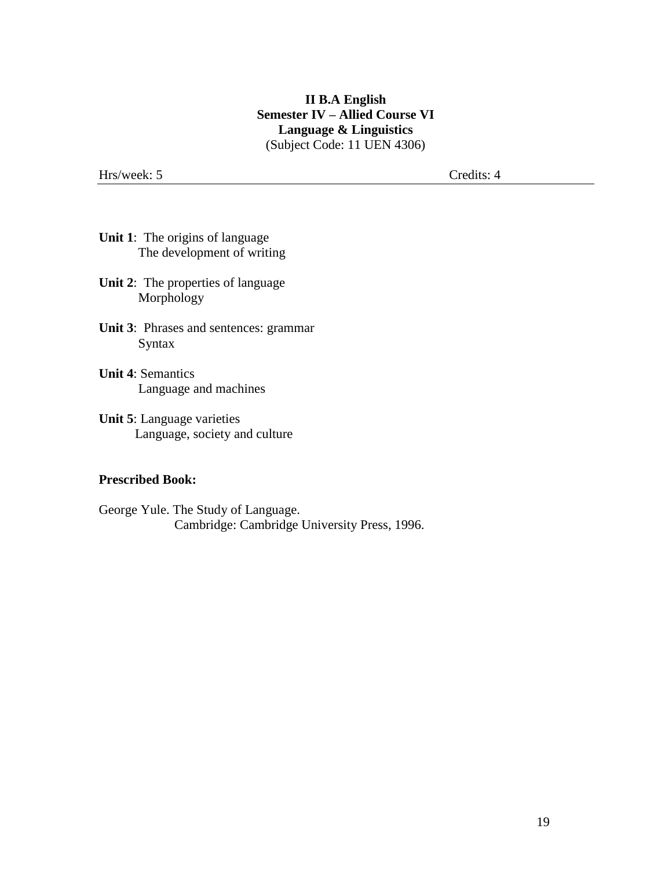## **II B.A English Semester IV – Allied Course VI Language & Linguistics** (Subject Code: 11 UEN 4306)

Hrs/week: 5 Credits: 4

- **Unit 1**: The origins of language The development of writing
- **Unit 2**: The properties of language Morphology
- **Unit 3**: Phrases and sentences: grammar Syntax
- **Unit 4**: Semantics Language and machines
- **Unit 5**: Language varieties Language, society and culture

#### **Prescribed Book:**

George Yule. The Study of Language. Cambridge: Cambridge University Press, 1996.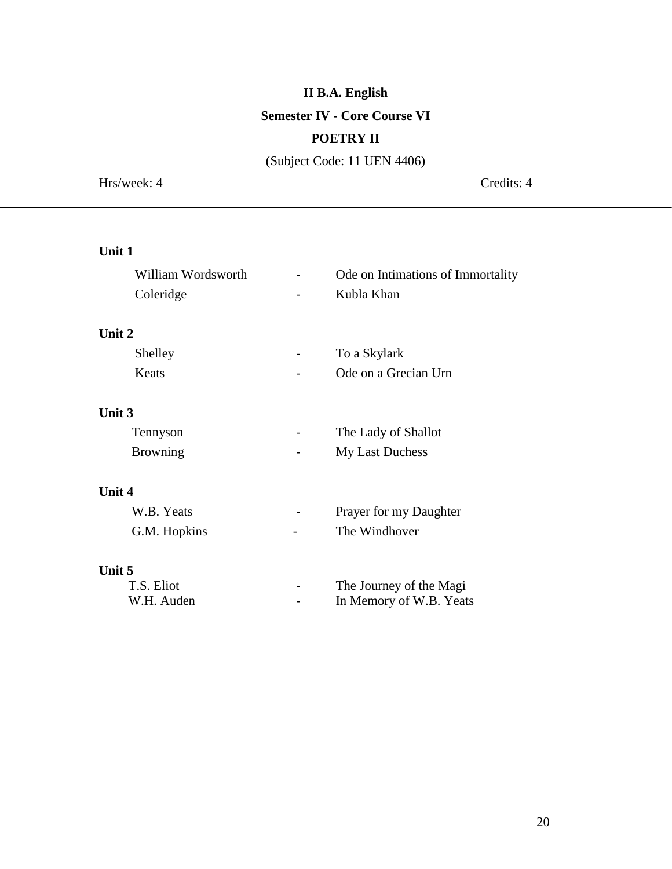# **II B.A. English**

### **Semester IV - Core Course VI**

## **POETRY II**

(Subject Code: 11 UEN 4406)

Hrs/week: 4 Credits: 4

# **Unit 1**

| William Wordsworth | Ode on Intimations of Immortality |
|--------------------|-----------------------------------|
| Coleridge          | Kubla Khan                        |
| Unit 2             |                                   |
| Shelley            | To a Skylark                      |
| Keats              | Ode on a Grecian Urn              |
| Unit 3             |                                   |
| Tennyson           | The Lady of Shallot               |
| <b>Browning</b>    | My Last Duchess                   |
| Unit 4             |                                   |
| W.B. Yeats         | Prayer for my Daughter            |
| G.M. Hopkins       | The Windhover                     |
| Unit 5             |                                   |
| T.S. Eliot         | The Journey of the Magi           |
| W.H. Auden         | In Memory of W.B. Yeats           |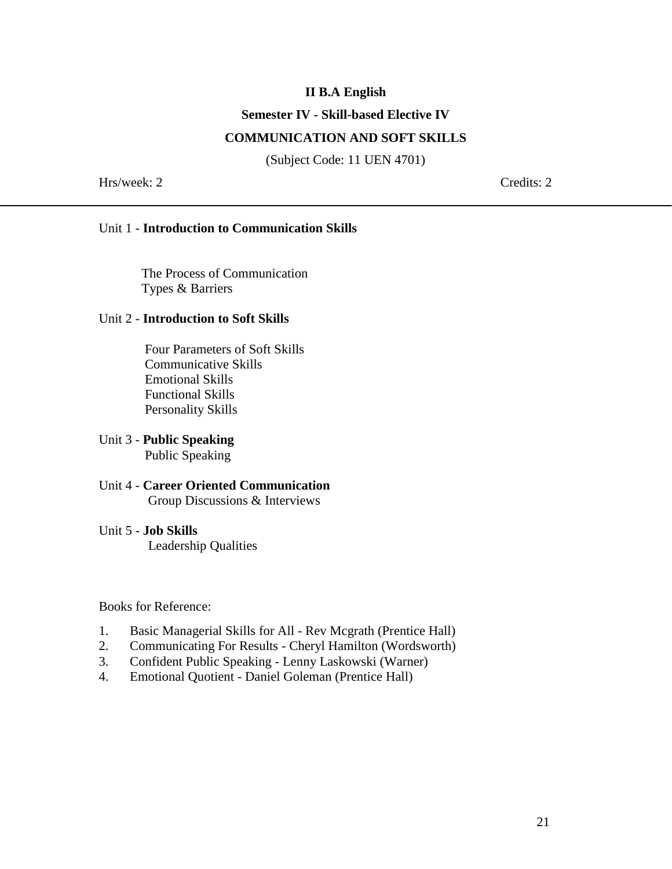### **II B.A English**

#### **Semester IV - Skill-based Elective IV**

#### **COMMUNICATION AND SOFT SKILLS**

(Subject Code: 11 UEN 4701)

Hrs/week: 2 Credits: 2

#### Unit 1 - **Introduction to Communication Skills**

The Process of Communication Types & Barriers

#### Unit 2 - **Introduction to Soft Skills**

 Four Parameters of Soft Skills Communicative Skills Emotional Skills Functional Skills Personality Skills

#### Unit 3 - **Public Speaking** Public Speaking

#### Unit 4 - **Career Oriented Communication** Group Discussions & Interviews

#### Unit 5 - **Job Skills**

Leadership Qualities

Books for Reference:

- 1. Basic Managerial Skills for All Rev Mcgrath (Prentice Hall)
- 2. Communicating For Results Cheryl Hamilton (Wordsworth)
- 3. Confident Public Speaking Lenny Laskowski (Warner)
- 4. Emotional Quotient Daniel Goleman (Prentice Hall)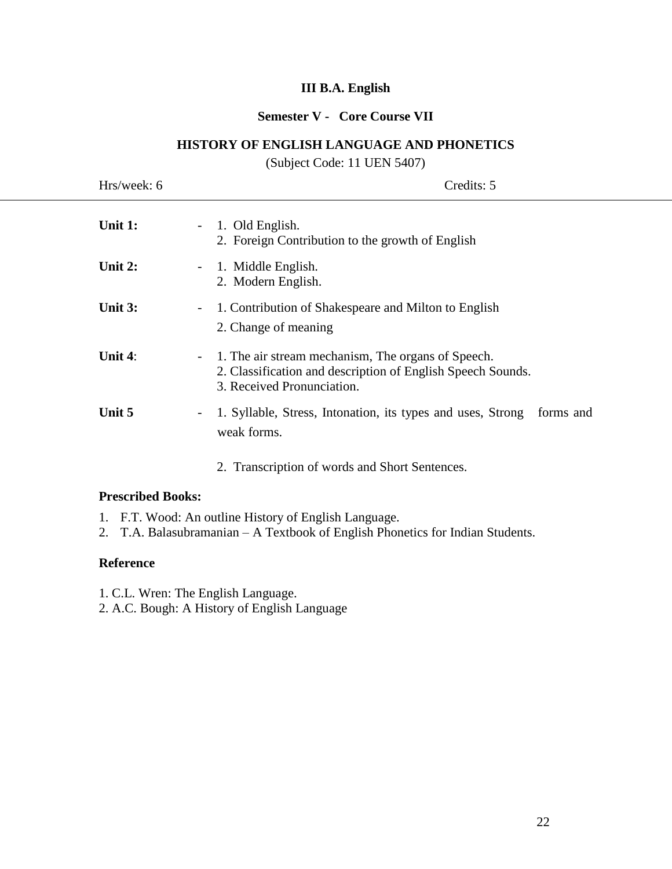## **III B.A. English**

# **Semester V - Core Course VII**

#### **HISTORY OF ENGLISH LANGUAGE AND PHONETICS**

(Subject Code: 11 UEN 5407)

| Hrs/week: 6 | Credits: 5                                                                                                                                        |
|-------------|---------------------------------------------------------------------------------------------------------------------------------------------------|
| Unit $1$ :  | - 1. Old English.<br>2. Foreign Contribution to the growth of English                                                                             |
| Unit $2:$   | - 1. Middle English.<br>2. Modern English.                                                                                                        |
| Unit 3:     | 1. Contribution of Shakespeare and Milton to English<br>$\sim$<br>2. Change of meaning                                                            |
| Unit $4$ :  | - 1. The air stream mechanism, The organs of Speech.<br>2. Classification and description of English Speech Sounds.<br>3. Received Pronunciation. |
| Unit 5      | 1. Syllable, Stress, Intonation, its types and uses, Strong<br>forms and<br>-<br>weak forms.                                                      |

2. Transcription of words and Short Sentences.

### **Prescribed Books:**

- 1. F.T. Wood: An outline History of English Language.
- 2. T.A. Balasubramanian A Textbook of English Phonetics for Indian Students.

#### **Reference**

- 1. C.L. Wren: The English Language.
- 2. A.C. Bough: A History of English Language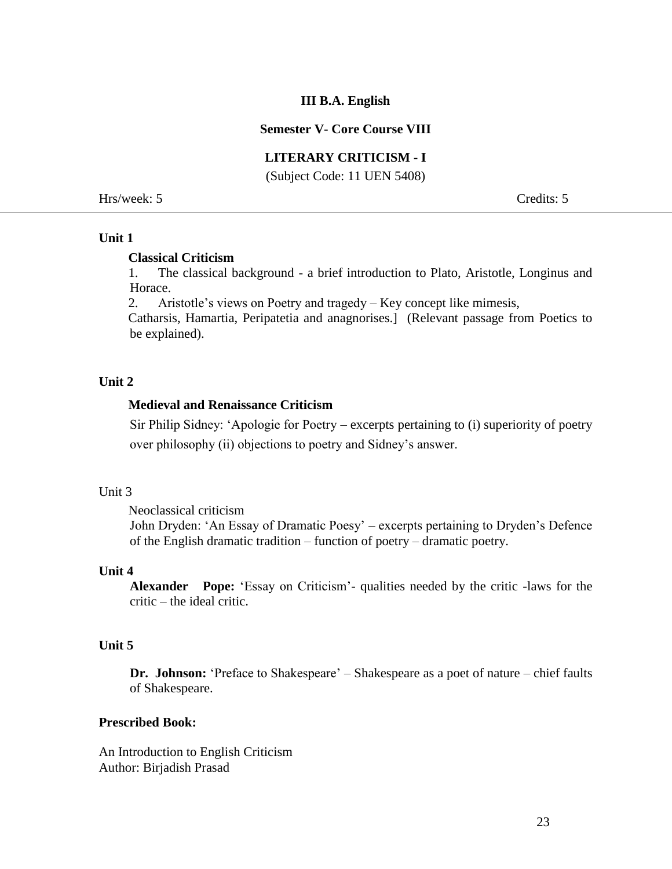#### **III B.A. English**

#### **Semester V- Core Course VIII**

#### **LITERARY CRITICISM - I**

(Subject Code: 11 UEN 5408)

Hrs/week: 5 Credits: 5

#### **Unit 1**

#### **Classical Criticism**

 1. The classical background - a brief introduction to Plato, Aristotle, Longinus and Horace.

2. Aristotle's views on Poetry and tragedy – Key concept like mimesis,

 Catharsis, Hamartia, Peripatetia and anagnorises.] (Relevant passage from Poetics to be explained).

## **Unit 2**

#### **Medieval and Renaissance Criticism**

Sir Philip Sidney: 'Apologie for Poetry – excerpts pertaining to (i) superiority of poetry over philosophy (ii) objections to poetry and Sidney's answer.

#### Unit 3

Neoclassical criticism

John Dryden: 'An Essay of Dramatic Poesy' – excerpts pertaining to Dryden's Defence of the English dramatic tradition – function of poetry – dramatic poetry.

#### **Unit 4**

**Alexander Pope:** 'Essay on Criticism'- qualities needed by the critic -laws for the critic – the ideal critic.

#### **Unit 5**

**Dr. Johnson:** 'Preface to Shakespeare' – Shakespeare as a poet of nature – chief faults of Shakespeare.

#### **Prescribed Book:**

An Introduction to English Criticism Author: Birjadish Prasad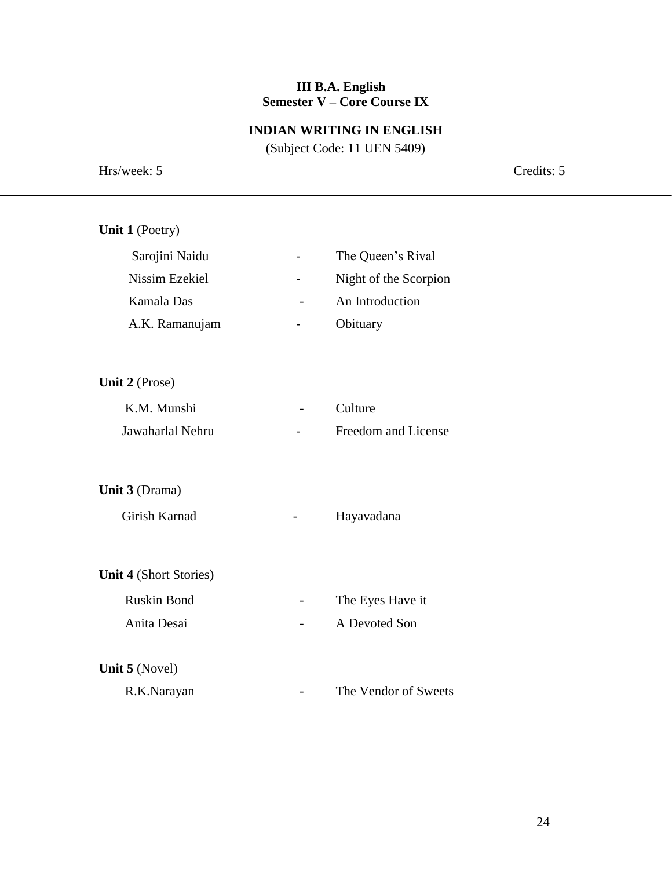#### **III B.A. English Semester V – Core Course IX**

#### **INDIAN WRITING IN ENGLISH**

(Subject Code: 11 UEN 5409)

Hrs/week: 5 Credits: 5 **Unit 1** (Poetry) Sarojini Naidu - The Queen's Rival Nissim Ezekiel - Night of the Scorpion Kamala Das - An Introduction A.K. Ramanujam - Obituary **Unit 2** (Prose) K.M. Munshi - Culture Jawaharlal Nehru - Freedom and License **Unit 3** (Drama) Girish Karnad **-** Hayavadana **Unit 4** (Short Stories) Ruskin Bond The Eyes Have it Anita Desai - A Devoted Son **Unit 5** (Novel) R.K.Narayan - The Vendor of Sweets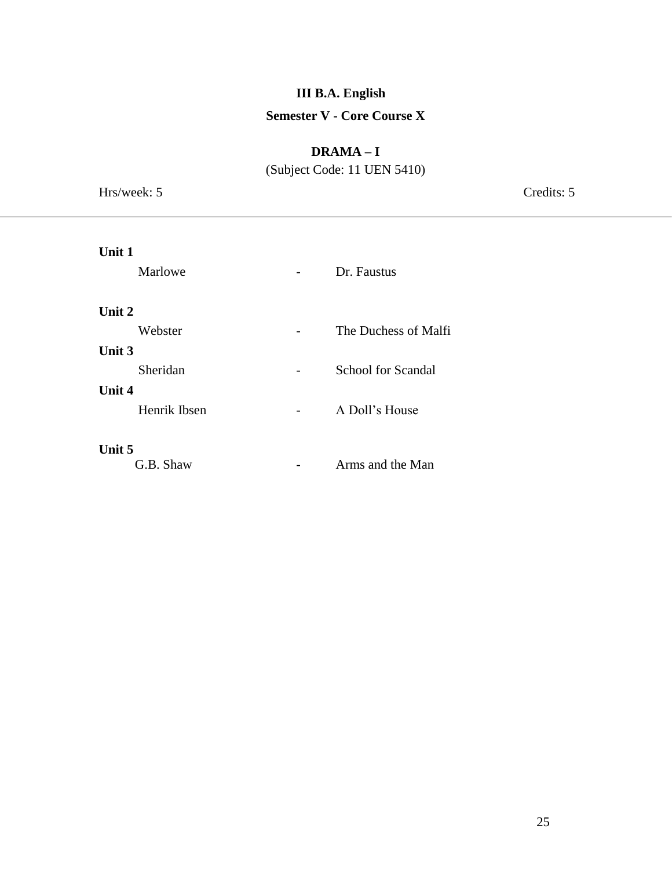# **III B.A. English Semester V - Core Course X**

## **DRAMA – I**

(Subject Code: 11 UEN 5410)

Hrs/week: 5 Credits: 5 **Unit 1** Marlowe **-** Dr. Faustus

# **Unit 2**  Webster **-** The Duchess of Malfi **Unit 3** Sheridan - School for Scandal **Unit 4** Henrik Ibsen - A Doll's House **Unit 5** G.B. Shaw - Arms and the Man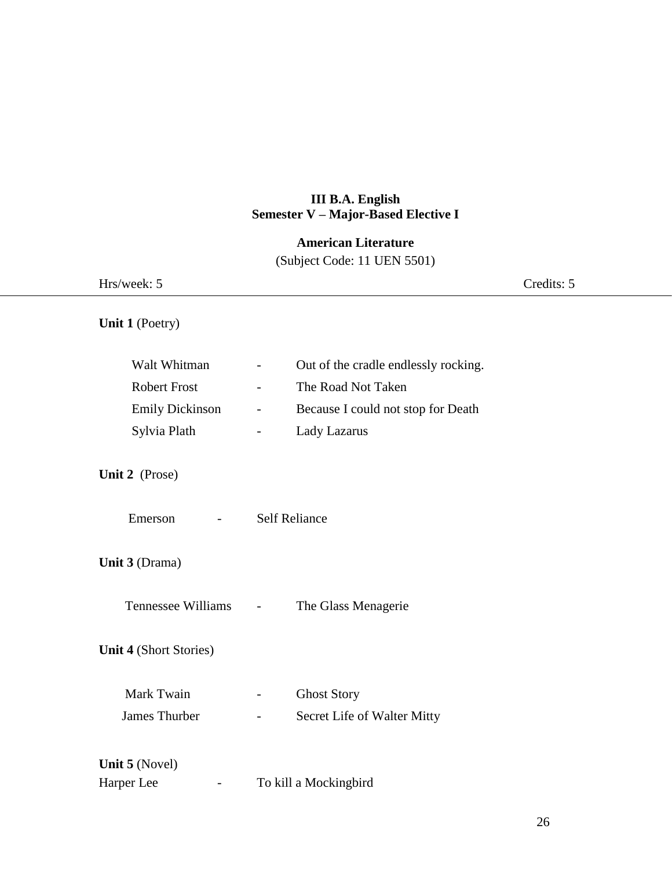# **III B.A. English Semester V – Major-Based Elective I**

# **American Literature**

(Subject Code: 11 UEN 5501)

| Hrs/week: 5                                                            |                                                                                                                                                                                                                        | Credits: 5 |
|------------------------------------------------------------------------|------------------------------------------------------------------------------------------------------------------------------------------------------------------------------------------------------------------------|------------|
| Unit 1 (Poetry)                                                        |                                                                                                                                                                                                                        |            |
| Walt Whitman<br><b>Robert Frost</b><br>Emily Dickinson<br>Sylvia Plath | Out of the cradle endlessly rocking.<br>$\overline{\phantom{a}}$<br>The Road Not Taken<br>$\overline{\phantom{a}}$<br>Because I could not stop for Death<br>$\overline{\phantom{a}}$<br>Lady Lazarus<br>$\blacksquare$ |            |
| Unit 2 (Prose)                                                         |                                                                                                                                                                                                                        |            |
| Emerson                                                                | <b>Self Reliance</b>                                                                                                                                                                                                   |            |
| Unit 3 (Drama)                                                         |                                                                                                                                                                                                                        |            |
| Tennessee Williams -                                                   | The Glass Menagerie                                                                                                                                                                                                    |            |
| <b>Unit 4 (Short Stories)</b>                                          |                                                                                                                                                                                                                        |            |
| Mark Twain<br>James Thurber                                            | <b>Ghost Story</b><br>Secret Life of Walter Mitty<br>$\overline{\phantom{a}}$                                                                                                                                          |            |
| Unit 5 (Novel)<br>Harper Lee<br>$\overline{\phantom{0}}$               | To kill a Mockingbird                                                                                                                                                                                                  |            |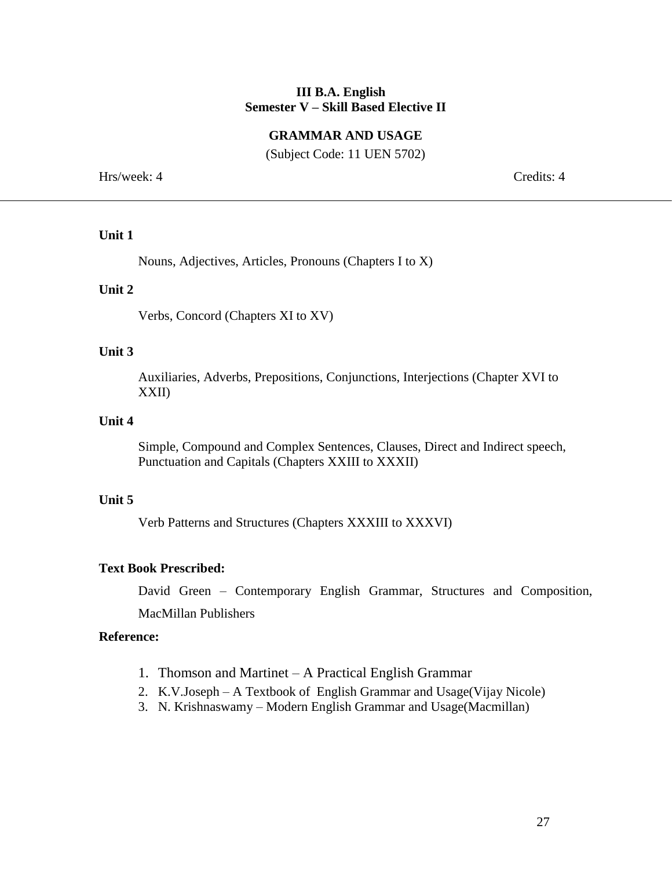#### **III B.A. English Semester V – Skill Based Elective II**

#### **GRAMMAR AND USAGE**

(Subject Code: 11 UEN 5702)

Hrs/week: 4 Credits: 4

#### **Unit 1**

Nouns, Adjectives, Articles, Pronouns (Chapters I to X)

#### **Unit 2**

Verbs, Concord (Chapters XI to XV)

#### **Unit 3**

Auxiliaries, Adverbs, Prepositions, Conjunctions, Interjections (Chapter XVI to XXII)

#### **Unit 4**

Simple, Compound and Complex Sentences, Clauses, Direct and Indirect speech, Punctuation and Capitals (Chapters XXIII to XXXII)

#### **Unit 5**

Verb Patterns and Structures (Chapters XXXIII to XXXVI)

#### **Text Book Prescribed:**

David Green – Contemporary English Grammar, Structures and Composition,

MacMillan Publishers

#### **Reference:**

- 1. Thomson and Martinet A Practical English Grammar
- 2. K.V.Joseph A Textbook of English Grammar and Usage(Vijay Nicole)
- 3. N. Krishnaswamy Modern English Grammar and Usage(Macmillan)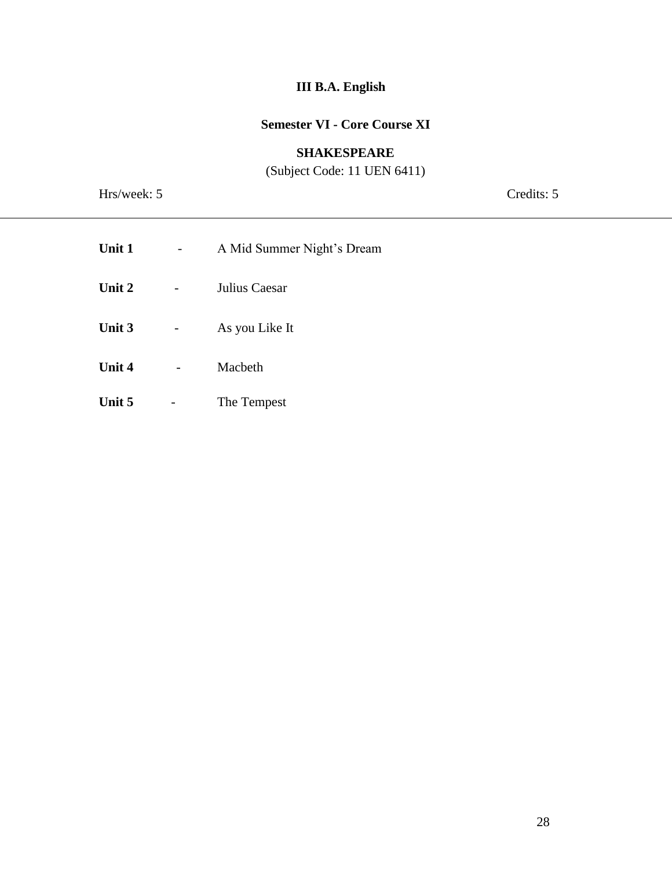# **III B.A. English**

# **Semester VI - Core Course XI**

## **SHAKESPEARE**

(Subject Code: 11 UEN 6411)

Hrs/week: 5 Credits: 5

| Unit 1 | A Mid Summer Night's Dream |
|--------|----------------------------|
| Unit 2 | Julius Caesar              |
| Unit 3 | As you Like It             |
| Unit 4 | Macbeth                    |
| Unit 5 | The Tempest                |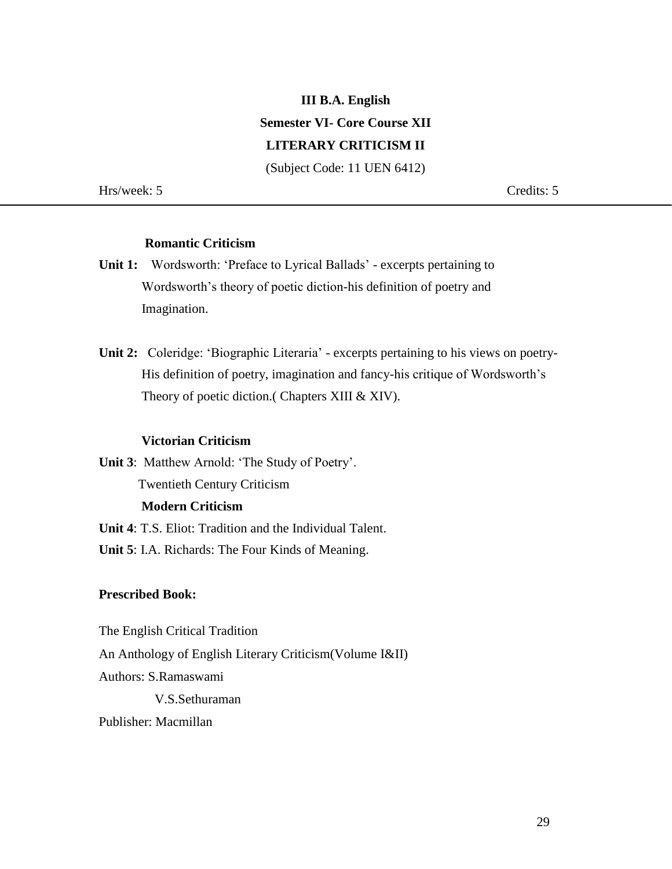# **III B.A. English Semester VI- Core Course XII LITERARY CRITICISM II**

(Subject Code: 11 UEN 6412)

Hrs/week: 5 Credits: 5

## **Romantic Criticism**

- **Unit 1:** Wordsworth: 'Preface to Lyrical Ballads' excerpts pertaining to Wordsworth's theory of poetic diction-his definition of poetry and Imagination.
- **Unit 2:** Coleridge: 'Biographic Literaria' excerpts pertaining to his views on poetry- His definition of poetry, imagination and fancy-his critique of Wordsworth's Theory of poetic diction.( Chapters XIII & XIV).

#### **Victorian Criticism**

**Unit 3**: Matthew Arnold: 'The Study of Poetry'. Twentieth Century Criticism  **Modern Criticism**

**Unit 4**: T.S. Eliot: Tradition and the Individual Talent.

**Unit 5**: I.A. Richards: The Four Kinds of Meaning.

#### **Prescribed Book:**

The English Critical Tradition

An Anthology of English Literary Criticism(Volume I&II)

Authors: S.Ramaswami

V.S.Sethuraman

Publisher: Macmillan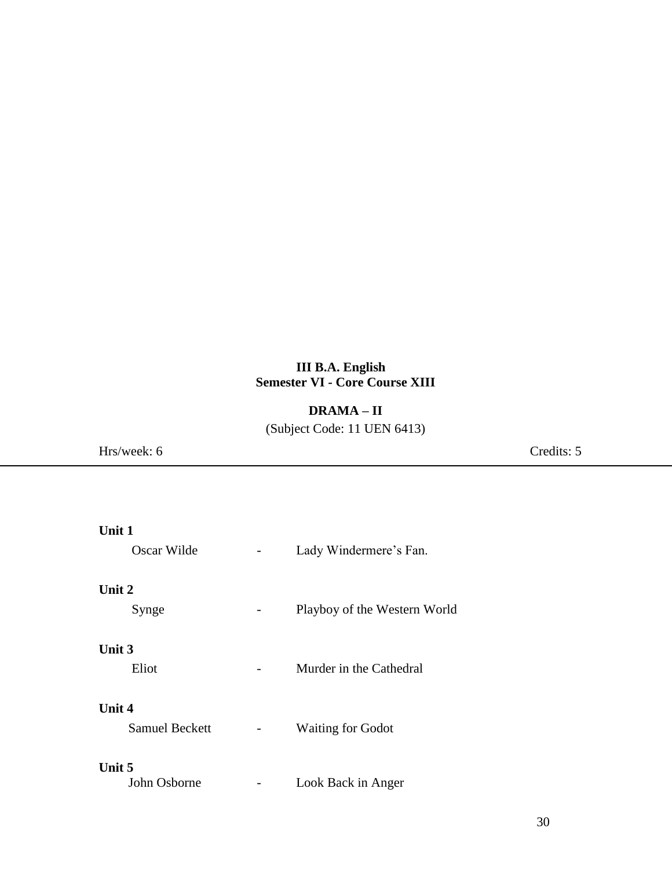## **III B.A. English Semester VI - Core Course XIII**

## **DRAMA – II**

(Subject Code: 11 UEN 6413)

Hrs/week: 6 Credits: 5

| Unit 1                                 |                              |  |  |  |  |
|----------------------------------------|------------------------------|--|--|--|--|
| Oscar Wilde                            | Lady Windermere's Fan.       |  |  |  |  |
| Unit 2<br>Synge                        | Playboy of the Western World |  |  |  |  |
| Unit 3<br>Eliot                        | Murder in the Cathedral      |  |  |  |  |
| <b>Unit 4</b><br><b>Samuel Beckett</b> | <b>Waiting for Godot</b>     |  |  |  |  |
| Unit 5<br>John Osborne                 | Look Back in Anger           |  |  |  |  |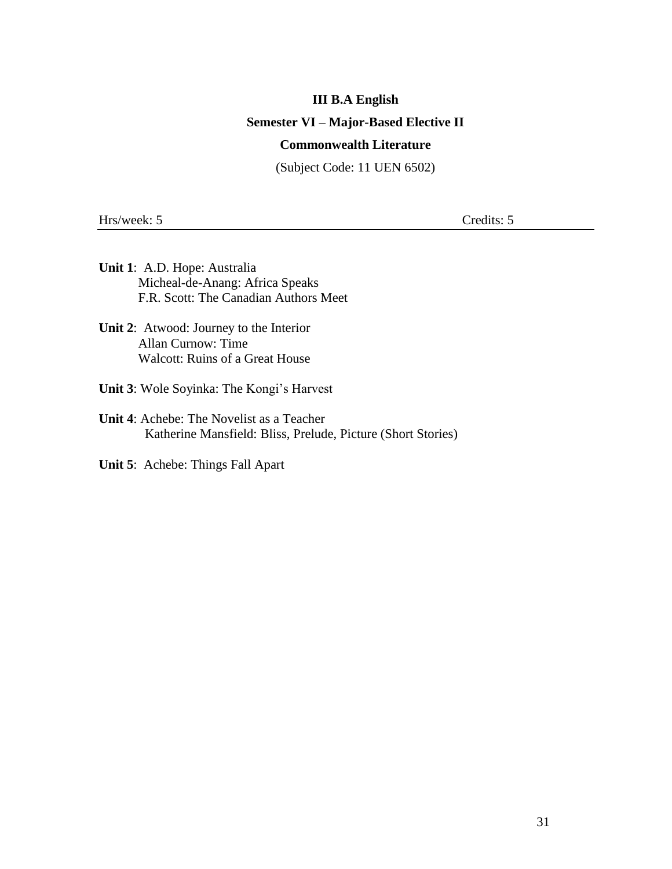#### **III B.A English**

#### **Semester VI – Major-Based Elective II**

### **Commonwealth Literature**

(Subject Code: 11 UEN 6502)

Hrs/week: 5 Credits: 5

- **Unit 1**: A.D. Hope: Australia Micheal-de-Anang: Africa Speaks F.R. Scott: The Canadian Authors Meet
- **Unit 2**: Atwood: Journey to the Interior Allan Curnow: Time Walcott: Ruins of a Great House
- **Unit 3**: Wole Soyinka: The Kongi's Harvest
- **Unit 4**: Achebe: The Novelist as a Teacher Katherine Mansfield: Bliss, Prelude, Picture (Short Stories)
- **Unit 5**: Achebe: Things Fall Apart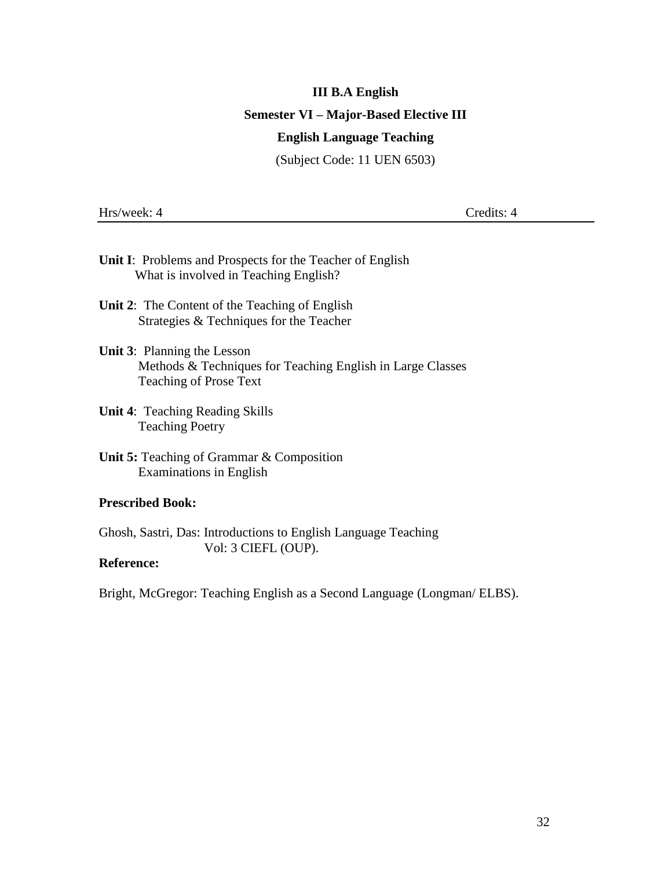# **III B.A English Semester VI – Major-Based Elective III English Language Teaching**

(Subject Code: 11 UEN 6503)

Hrs/week: 4 Credits: 4

| <b>Unit I:</b> Problems and Prospects for the Teacher of English             |  |  |  |  |  |  |  |  |  |  |
|------------------------------------------------------------------------------|--|--|--|--|--|--|--|--|--|--|
| What is involved in Teaching English?                                        |  |  |  |  |  |  |  |  |  |  |
|                                                                              |  |  |  |  |  |  |  |  |  |  |
| $\mathbf{r}$ , a multiple is a set of $\mathbf{r}$ . The set of $\mathbf{r}$ |  |  |  |  |  |  |  |  |  |  |

**Unit 2**: The Content of the Teaching of English Strategies & Techniques for the Teacher

### **Unit 3**: Planning the Lesson Methods & Techniques for Teaching English in Large Classes Teaching of Prose Text

- **Unit 4**: Teaching Reading Skills Teaching Poetry
- **Unit 5:** Teaching of Grammar & Composition Examinations in English

#### **Prescribed Book:**

Ghosh, Sastri, Das: Introductions to English Language Teaching Vol: 3 CIEFL (OUP).

## **Reference:**

Bright, McGregor: Teaching English as a Second Language (Longman/ ELBS).